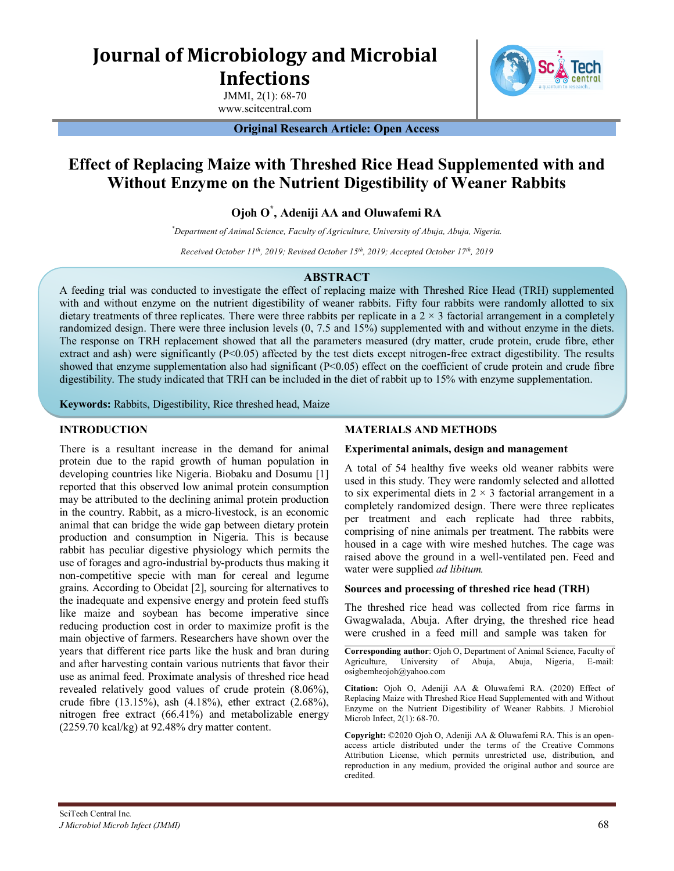# **Journal of Microbiology and Microbial Infections**

JMMI, 2(1): 68-70 www.scitcentral.com

#### **Original Research Article: Open Access**

## **Effect of Replacing Maize with Threshed Rice Head Supplemented with and Without Enzyme on the Nutrient Digestibility of Weaner Rabbits**

### **Ojoh O\* , Adeniji AA and Oluwafemi RA**

*\*Department of Animal Science, Faculty of Agriculture, University of Abuja, Abuja, Nigeria.*

*Received October 11 th , 2019; Revised October 15 th , 2019; Accepted October 17th, 2019*

#### **ABSTRACT**

A feeding trial was conducted to investigate the effect of replacing maize with Threshed Rice Head (TRH) supplemented with and without enzyme on the nutrient digestibility of weaner rabbits. Fifty four rabbits were randomly allotted to six dietary treatments of three replicates. There were three rabbits per replicate in a  $2 \times 3$  factorial arrangement in a completely randomized design. There were three inclusion levels (0, 7.5 and 15%) supplemented with and without enzyme in the diets. The response on TRH replacement showed that all the parameters measured (dry matter, crude protein, crude fibre, ether extract and ash) were significantly (P<0.05) affected by the test diets except nitrogen-free extract digestibility. The results showed that enzyme supplementation also had significant  $(P< 0.05)$  effect on the coefficient of crude protein and crude fibre digestibility. The study indicated that TRH can be included in the diet of rabbit up to 15% with enzyme supplementation.

**Keywords:** Rabbits, Digestibility, Rice threshed head, Maize

#### **INTRODUCTION**

There is a resultant increase in the demand for animal protein due to the rapid growth of human population in developing countries like Nigeria. Biobaku and Dosumu [1] reported that this observed low animal protein consumption may be attributed to the declining animal protein production in the country. Rabbit, as a micro-livestock, is an economic animal that can bridge the wide gap between dietary protein production and consumption in Nigeria. This is because rabbit has peculiar digestive physiology which permits the use of forages and agro-industrial by-products thus making it non-competitive specie with man for cereal and legume grains. According to Obeidat [2], sourcing for alternatives to the inadequate and expensive energy and protein feed stuffs like maize and soybean has become imperative since reducing production cost in order to maximize profit is the main objective of farmers. Researchers have shown over the years that different rice parts like the husk and bran during and after harvesting contain various nutrients that favor their use as animal feed. Proximate analysis of threshed rice head revealed relatively good values of crude protein (8.06%), crude fibre (13.15%), ash (4.18%), ether extract (2.68%), nitrogen free extract (66.41%) and metabolizable energy (2259.70 kcal/kg) at 92.48% dry matter content.

#### **MATERIALS AND METHODS**

#### **Experimental animals, design and management**

A total of 54 healthy five weeks old weaner rabbits were used in this study. They were randomly selected and allotted to six experimental diets in  $2 \times 3$  factorial arrangement in a completely randomized design. There were three replicates per treatment and each replicate had three rabbits, comprising of nine animals per treatment. The rabbits were housed in a cage with wire meshed hutches. The cage was raised above the ground in a well-ventilated pen. Feed and water were supplied *ad libitum.*

#### **Sources and processing of threshed rice head (TRH)**

The threshed rice head was collected from rice farms in Gwagwalada, Abuja. After drying, the threshed rice head were crushed in a feed mill and sample was taken for

**Corresponding author**: Ojoh O, Department of Animal Science, Faculty of Agriculture, University of Abuja, Abuja, Nigeria, E-mail: osigbemheojoh@yahoo.com

**Citation:** Ojoh O, Adeniji AA & Oluwafemi RA. (2020) Effect of Replacing Maize with Threshed Rice Head Supplemented with and Without Enzyme on the Nutrient Digestibility of Weaner Rabbits. J Microbiol Microb Infect, 2(1): 68-70.

**Copyright:** ©2020 Ojoh O, Adeniji AA & Oluwafemi RA. This is an openaccess article distributed under the terms of the Creative Commons Attribution License, which permits unrestricted use, distribution, and reproduction in any medium, provided the original author and source are credited.

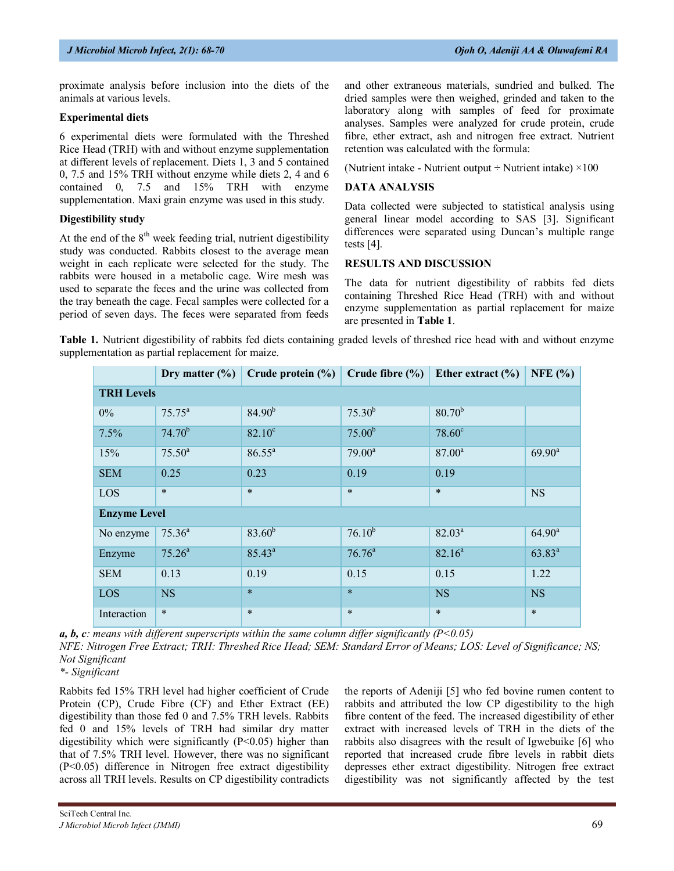proximate analysis before inclusion into the diets of the animals at various levels.

#### **Experimental diets**

6 experimental diets were formulated with the Threshed Rice Head (TRH) with and without enzyme supplementation at different levels of replacement. Diets 1, 3 and 5 contained 0, 7.5 and 15% TRH without enzyme while diets 2, 4 and 6 contained 0, 7.5 and 15% TRH with enzyme supplementation. Maxi grain enzyme was used in this study.

#### **Digestibility study**

At the end of the  $8<sup>th</sup>$  week feeding trial, nutrient digestibility study was conducted. Rabbits closest to the average mean weight in each replicate were selected for the study. The rabbits were housed in a metabolic cage. Wire mesh was used to separate the feces and the urine was collected from the tray beneath the cage. Fecal samples were collected for a period of seven days. The feces were separated from feeds and other extraneous materials, sundried and bulked. The dried samples were then weighed, grinded and taken to the laboratory along with samples of feed for proximate analyses. Samples were analyzed for crude protein, crude fibre, ether extract, ash and nitrogen free extract. Nutrient retention was calculated with the formula:

(Nutrient intake - Nutrient output  $\div$  Nutrient intake)  $\times 100$ 

#### **DATA ANALYSIS**

Data collected were subjected to statistical analysis using general linear model according to SAS [3]. Significant differences were separated using Duncan's multiple range tests [4].

#### **RESULTS AND DISCUSSION**

The data for nutrient digestibility of rabbits fed diets containing Threshed Rice Head (TRH) with and without enzyme supplementation as partial replacement for maize are presented in **Table 1**.

**Table 1.** Nutrient digestibility of rabbits fed diets containing graded levels of threshed rice head with and without enzyme supplementation as partial replacement for maize.

|                     | Dry matter $(\% )$ | Crude protein $(\% )$ | Crude fibre $(\% )$ | Ether extract $(\% )$ | NFE $(% )$         |
|---------------------|--------------------|-----------------------|---------------------|-----------------------|--------------------|
| <b>TRH Levels</b>   |                    |                       |                     |                       |                    |
| $0\%$               | $75.75^{\circ}$    | $84.90^{b}$           | $75.30^{b}$         | $80.70^{b}$           |                    |
| 7.5%                | $74.70^{b}$        | $82.10^{\circ}$       | 75.00 <sup>b</sup>  | 78.60 <sup>c</sup>    |                    |
| 15%                 | $75.50^{\rm a}$    | $86.55^{\circ}$       | $79.00^a$           | $87.00^{\circ}$       | $69.90^{\text{a}}$ |
| <b>SEM</b>          | 0.25               | 0.23                  | 0.19                | 0.19                  |                    |
| LOS                 | $\ast$             | $\ast$                | $\ast$              | $\ast$                | <b>NS</b>          |
| <b>Enzyme Level</b> |                    |                       |                     |                       |                    |
| No enzyme           | $75.36^{\circ}$    | $83.60^{b}$           | $76.10^{b}$         | $82.03^{\circ}$       | $64.90^{\circ}$    |
| Enzyme              | $75.26^{\circ}$    | $85.43^{a}$           | $76.76^a$           | $82.16^a$             | $63.83^{a}$        |
| <b>SEM</b>          | 0.13               | 0.19                  | 0.15                | 0.15                  | 1.22               |
| <b>LOS</b>          | <b>NS</b>          | $\ast$                | $\ast$              | <b>NS</b>             | <b>NS</b>          |
| Interaction         | $\ast$             | $\ast$                | $\ast$              | $\ast$                | $\ast$             |

*a, b, c: means with different superscripts within the same column differ significantly (P<0.05)*

*NFE: Nitrogen Free Extract; TRH: Threshed Rice Head; SEM: Standard Error of Means; LOS: Level of Significance; NS; Not Significant*

*\*- Significant*

Rabbits fed 15% TRH level had higher coefficient of Crude Protein (CP), Crude Fibre (CF) and Ether Extract (EE) digestibility than those fed 0 and 7.5% TRH levels. Rabbits fed 0 and 15% levels of TRH had similar dry matter digestibility which were significantly (P<0.05) higher than that of 7.5% TRH level. However, there was no significant (P<0.05) difference in Nitrogen free extract digestibility across all TRH levels. Results on CP digestibility contradicts the reports of Adeniji [5] who fed bovine rumen content to rabbits and attributed the low CP digestibility to the high fibre content of the feed. The increased digestibility of ether extract with increased levels of TRH in the diets of the rabbits also disagrees with the result of Igwebuike [6] who reported that increased crude fibre levels in rabbit diets depresses ether extract digestibility. Nitrogen free extract digestibility was not significantly affected by the test